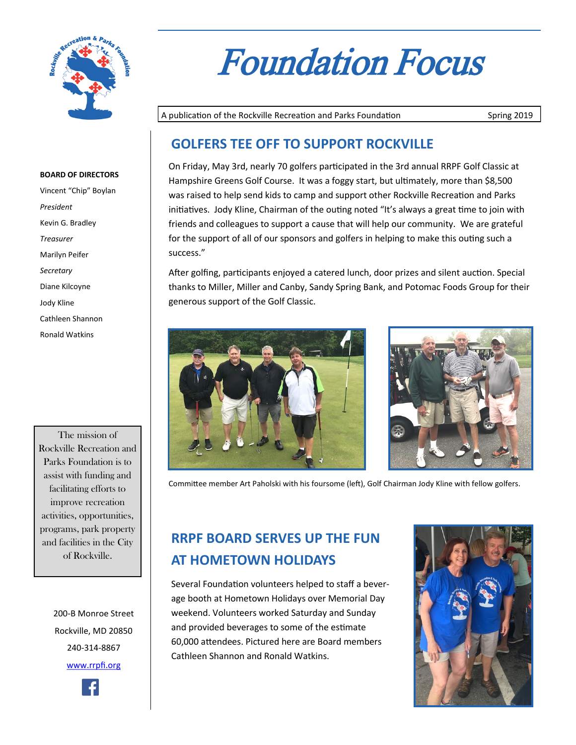

# Foundation Focus

A publication of the Rockville Recreation and Parks Foundation Spring 2019

## **GOLFERS TEE OFF TO SUPPORT ROCKVILLE**

On Friday, May 3rd, nearly 70 golfers participated in the 3rd annual RRPF Golf Classic at Hampshire Greens Golf Course. It was a foggy start, but ultimately, more than \$8,500 was raised to help send kids to camp and support other Rockville Recreation and Parks initiatives. Jody Kline, Chairman of the outing noted "It's always a great time to join with friends and colleagues to support a cause that will help our community. We are grateful for the support of all of our sponsors and golfers in helping to make this outing such a success."

After golfing, participants enjoyed a catered lunch, door prizes and silent auction. Special thanks to Miller, Miller and Canby, Sandy Spring Bank, and Potomac Foods Group for their generous support of the Golf Classic.





Committee member Art Paholski with his foursome (left), Golf Chairman Jody Kline with fellow golfers.

## **RRPF BOARD SERVES UP THE FUN AT HOMETOWN HOLIDAYS**

Several Foundation volunteers helped to staff a beverage booth at Hometown Holidays over Memorial Day weekend. Volunteers worked Saturday and Sunday and provided beverages to some of the estimate 60,000 attendees. Pictured here are Board members Cathleen Shannon and Ronald Watkins.



#### **BOARD OF DIRECTORS**

Vincent "Chip" Boylan *President* Kevin G. Bradley *Treasurer* Marilyn Peifer *Secretary* Diane Kilcoyne Jody Kline Cathleen Shannon Ronald Watkins

The mission of Rockville Recreation and Parks Foundation is to assist with funding and facilitating efforts to improve recreation activities, opportunities, programs, park property and facilities in the City of Rockville.

> 200-B Monroe Street Rockville, MD 20850 240-314-8867 [www.rrpfi.org](http://Www.rrpfi.org)